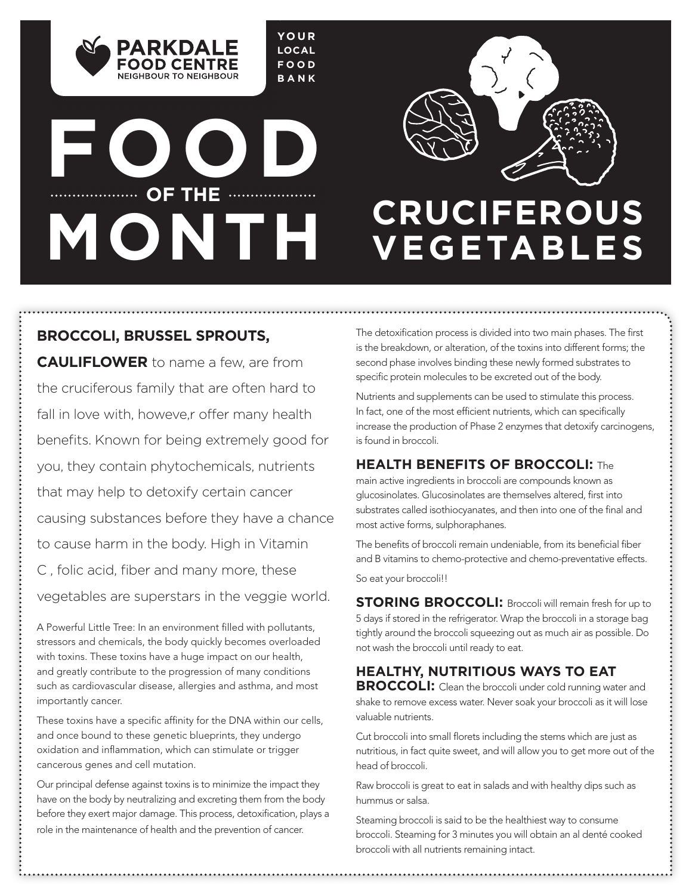**YOUR LOCAL FOOD BANK**

# **FOOD** ................. OF THE .................... **MONTH CRUCIFEROUS**

**PARKDALE FOOD CENTRE** NEIGHBOUR TO NEIGHBOUR



# **VEGETABLES**

### **BROCCOLI, BRUSSEL SPROUTS, CAULIFLOWER** to name a few, are from the cruciferous family that are often hard to fall in love with, howeve, r offer many health benefits. Known for being extremely good for you, they contain phytochemicals, nutrients that may help to detoxify certain cancer causing substances before they have a chance to cause harm in the body. High in Vitamin C, folic acid, fiber and many more, these vegetables are superstars in the veggie world.

A Powerful Little Tree: In an environment filled with pollutants, stressors and chemicals, the body quickly becomes overloaded with toxins. These toxins have a huge impact on our health, and greatly contribute to the progression of many conditions such as cardiovascular disease, allergies and asthma, and most importantly cancer.

These toxins have a specific affinity for the DNA within our cells, and once bound to these genetic blueprints, they undergo oxidation and inflammation, which can stimulate or trigger cancerous genes and cell mutation.

Our principal defense against toxins is to minimize the impact they have on the body by neutralizing and excreting them from the body before they exert major damage. This process, detoxification, plays a role in the maintenance of health and the prevention of cancer.

The detoxification process is divided into two main phases. The first is the breakdown, or alteration, of the toxins into different forms; the second phase involves binding these newly formed substrates to specific protein molecules to be excreted out of the body.

Nutrients and supplements can be used to stimulate this process. In fact, one of the most efficient nutrients, which can specifically increase the production of Phase 2 enzymes that detoxify carcinogens, is found in broccoli.

### **HEALTH BENEFITS OF BROCCOLI:** The

main active ingredients in broccoli are compounds known as glucosinolates. Glucosinolates are themselves altered, first into substrates called isothiocyanates, and then into one of the final and most active forms, sulphoraphanes.

The benefits of broccoli remain undeniable, from its beneficial fiber and B vitamins to chemo-protective and chemo-preventative effects. So eat your broccoli!!

**STORING BROCCOLI:** Broccoli will remain fresh for up to 5 days if stored in the refrigerator. Wrap the broccoli in a storage bag tightly around the broccoli squeezing out as much air as possible. Do not wash the broccoli until ready to eat.

### **HEALTHY, NUTRITIOUS WAYS TO EAT**

**BROCCOLI:** Clean the broccoli under cold running water and shake to remove excess water. Never soak your broccoli as it will lose valuable nutrients.

Cut broccoli into small florets including the stems which are just as nutritious, in fact quite sweet, and will allow you to get more out of the head of broccoli.

Raw broccoli is great to eat in salads and with healthy dips such as hummus or salsa.

Steaming broccoli is said to be the healthiest way to consume broccoli. Steaming for 3 minutes you will obtain an al denté cooked broccoli with all nutrients remaining intact.